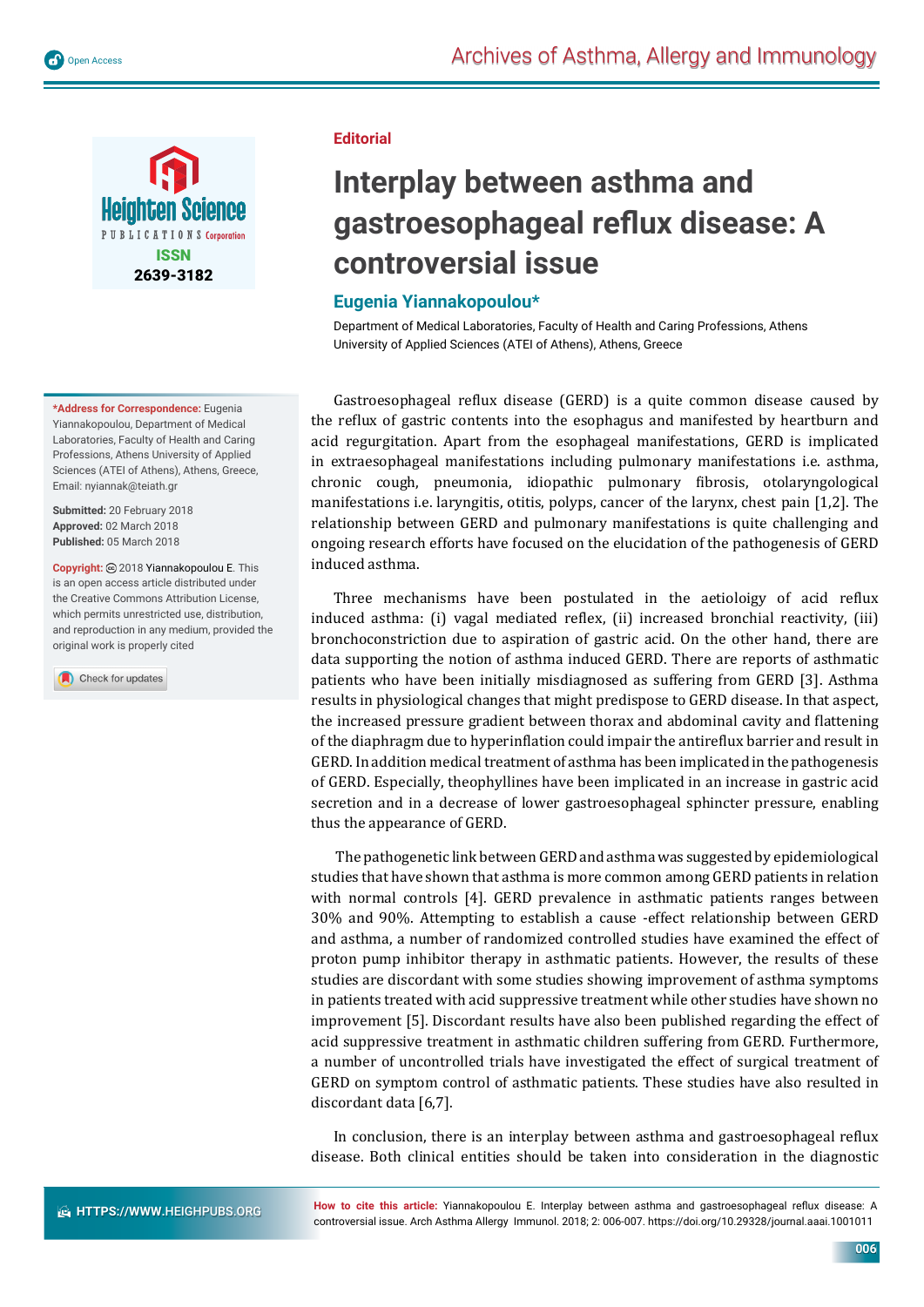

**\*Address for Correspondence:** Eugenia Yiannakopoulou, Department of Medical Laboratories, Faculty of Health and Caring Professions, Athens University of Applied Sciences (ATEI of Athens), Athens, Greece, Email: nyiannak@teiath.gr

**Submitted:** 20 February 2018 **Approved:** 02 March 2018 **Published:** 05 March 2018

**Copyright:** 2018 Yiannakopoulou E. This is an open access article distributed under the Creative Commons Attribution License, which permits unrestricted use, distribution, and reproduction in any medium, provided the original work is properly cited

Check for updates

## **Editorial**

## **Interplay between asthma and**  gastroesophageal reflux disease: A **controversial issue**

## **Eugenia Yiannakopoulou\***

Department of Medical Laboratories, Faculty of Health and Caring Professions, Athens University of Applied Sciences (ATEI of Athens), Athens, Greece

Gastroesophageal reflux disease (GERD) is a quite common disease caused by the reflux of gastric contents into the esophagus and manifested by heartburn and acid regurgitation. Apart from the esophageal manifestations, GERD is implicated in extraesophageal manifestations including pulmonary manifestations i.e. asthma, chronic cough, pneumonia, idiopathic pulmonary fibrosis, otolaryngological manifestations i.e. laryngitis, otitis, polyps, cancer of the larynx, chest pain [1,2]. The relationship between GERD and pulmonary manifestations is quite challenging and ongoing research efforts have focused on the elucidation of the pathogenesis of GERD induced asthma.

Three mechanisms have been postulated in the aetioloigy of acid reflux induced asthma: (i) vagal mediated reflex, (ii) increased bronchial reactivity, (iii) bronchoconstriction due to aspiration of gastric acid. On the other hand, there are data supporting the notion of asthma induced GERD. There are reports of asthmatic patients who have been initially misdiagnosed as suffering from GERD [3]. Asthma results in physiological changes that might predispose to GERD disease. In that aspect, the increased pressure gradient between thorax and abdominal cavity and flattening of the diaphragm due to hyperinflation could impair the antireflux barrier and result in GERD. In addition medical treatment of asthma has been implicated in the pathogenesis of GERD. Especially, theophyllines have been implicated in an increase in gastric acid secretion and in a decrease of lower gastroesophageal sphincter pressure, enabling thus the appearance of GERD.

 The pathogenetic link between GERD and asthma was suggested by epidemiological studies that have shown that asthma is more common among GERD patients in relation with normal controls [4]. GERD prevalence in asthmatic patients ranges between 30% and 90%. Attempting to establish a cause -effect relationship between GERD and asthma, a number of randomized controlled studies have examined the effect of proton pump inhibitor therapy in asthmatic patients. However, the results of these studies are discordant with some studies showing improvement of asthma symptoms in patients treated with acid suppressive treatment while other studies have shown no improvement [5]. Discordant results have also been published regarding the effect of acid suppressive treatment in asthmatic children suffering from GERD. Furthermore, a number of uncontrolled trials have investigated the effect of surgical treatment of GERD on symptom control of asthmatic patients. These studies have also resulted in discordant data [6,7].

In conclusion, there is an interplay between asthma and gastroesophageal reflux disease. Both clinical entities should be taken into consideration in the diagnostic

How to cite this article: Yiannakopoulou E. Interplay between asthma and gastroesophageal reflux disease: A controversial issue. Arch Asthma Allergy Immunol. 2018; 2: 006-007. https://doi.org/10.29328/journal.aaai.1001011